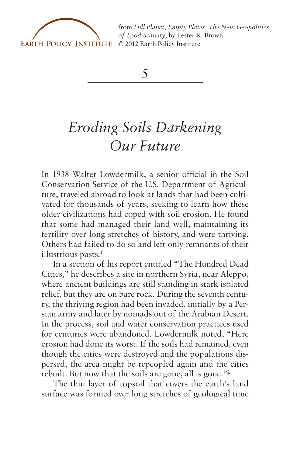

from *[Full Planet, Empty Plates: The New Geopolitics](http://www.earth-policy.org) of Food Scarcity*, by Lester R. Brown

*5*

## *Eroding Soils Darkening Our Future*

In 1938 Walter Lowdermilk, a senior official in the Soil Conservation Service of the U.S. Department of Agriculture, traveled abroad to look at lands that had been cultivated for thousands of years, seeking to learn how these older civilizations had coped with soil erosion. He found that some had managed their land well, maintaining its fertility over long stretches of history, and were thriving. Others had failed to do so and left only remnants of their illustrious pasts.<sup>1</sup>

In a section of his report entitled "The Hundred Dead Cities," he describes a site in northern Syria, near Aleppo, where ancient buildings are still standing in stark isolated relief, but they are on bare rock. During the seventh century, the thriving region had been invaded, initially by a Persian army and later by nomads out of the Arabian Desert. In the process, soil and water conservation practices used for centuries were abandoned. Lowdermilk noted, "Here erosion had done its worst. If the soils had remained, even though the cities were destroyed and the populations dispersed, the area might be repeopled again and the cities rebuilt. But now that the soils are gone, all is gone."2

The thin layer of topsoil that covers the earth's land surface was formed over long stretches of geological time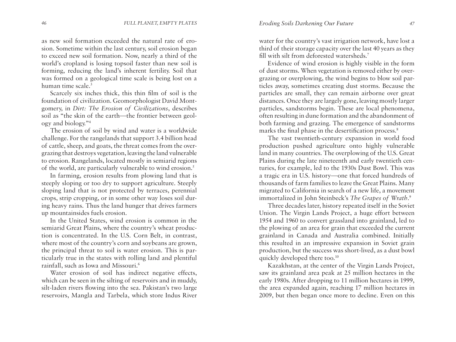as new soil formation exceeded the natural rate of erosion. Sometime within the last century, soil erosion began to exceed new soil formation. Now, nearly a third of the world's cropland is losing topsoil faster than new soil is forming, reducing the land's inherent fertility. Soil that was formed on a geological time scale is being lost on a human time scale.<sup>3</sup>

Scarcely six inches thick, this thin film of soil is the foundation of civilization. Geomorphologist David Montgomery, in *Dirt: The Erosion of Civilizations*, describes soil as "the skin of the earth—the frontier between geology and biology."4

The erosion of soil by wind and water is a worldwide challenge. For the rangelands that support 3.4 billion head of cattle, sheep, and goats, the threat comes from the overgrazing that destroys vegetation, leaving the land vulnerable to erosion. Rangelands, located mostly in semiarid regions of the world, are particularly vulnerable to wind erosion.<sup>5</sup>

In farming, erosion results from plowing land that is steeply sloping or too dry to support agriculture. Steeply sloping land that is not protected by terraces, perennial crops, strip cropping, or in some other way loses soil during heavy rains. Thus the land hunger that drives farmers up mountainsides fuels erosion.

In the United States, wind erosion is common in the semiarid Great Plains, where the country's wheat production is concentrated. In the U.S. Corn Belt, in contrast, where most of the country's corn and soybeans are grown, the principal threat to soil is water erosion. This is particularly true in the states with rolling land and plentiful rainfall, such as Iowa and Missouri.6

Water erosion of soil has indirect negative effects, which can be seen in the silting of reservoirs and in muddy, silt-laden rivers flowing into the sea. Pakistan's two large reservoirs, Mangla and Tarbela, which store Indus River water for the country's vast irrigation network, have lost a third of their storage capacity over the last 40 years as they fill with silt from deforested watersheds.7

Evidence of wind erosion is highly visible in the form of dust storms. When vegetation is removed either by overgrazing or overplowing, the wind begins to blow soil particles away, sometimes creating dust storms. Because the particles are small, they can remain airborne over great distances. Once they are largely gone, leaving mostly larger particles, sandstorms begin. These are local phenomena, often resulting in dune formation and the abandonment of both farming and grazing. The emergence of sandstorms marks the final phase in the desertification process.<sup>8</sup>

The vast twentieth-century expansion in world food production pushed agriculture onto highly vulnerable land in many countries. The overplowing of the U.S. Great Plains during the late nineteenth and early twentieth centuries, for example, led to the 1930s Dust Bowl. This was a tragic era in U.S. history—one that forced hundreds of thousands of farm families to leave the Great Plains. Many migrated to California in search of a new life, a movement immortalized in John Steinbeck's *The Grapes of Wrath*. 9

Three decades later, history repeated itself in the Soviet Union. The Virgin Lands Project, a huge effort between 1954 and 1960 to convert grassland into grainland, led to the plowing of an area for grain that exceeded the current grainland in Canada and Australia combined. Initially this resulted in an impressive expansion in Soviet grain production, but the success was short-lived, as a dust bowl quickly developed there too.<sup>10</sup>

Kazakhstan, at the center of the Virgin Lands Project, saw its grainland area peak at 25 million hectares in the early 1980s. After dropping to 11 million hectares in 1999, the area expanded again, reaching 17 million hectares in 2009, but then began once more to decline. Even on this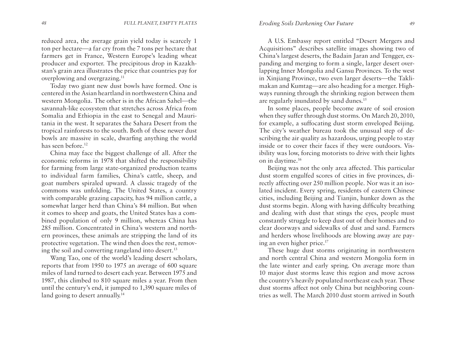reduced area, the average grain yield today is scarcely 1 ton per hectare—a far cry from the 7 tons per hectare that farmers get in France, Western Europe's leading wheat producer and exporter. The precipitous drop in Kazakhstan's grain area illustrates the price that countries pay for overplowing and overgrazing.<sup>11</sup>

Today two giant new dust bowls have formed. One is centered in the Asian heartland in northwestern China and western Mongolia. The other is in the African Sahel—the savannah-like ecosystem that stretches across Africa from Somalia and Ethiopia in the east to Senegal and Mauritania in the west. It separates the Sahara Desert from the tropical rainforests to the south. Both of these newer dust bowls are massive in scale, dwarfing anything the world has seen before.<sup>12</sup>

China may face the biggest challenge of all. After the economic reforms in 1978 that shifted the responsibility for farming from large state-organized production teams to individual farm families, China's cattle, sheep, and goat numbers spiraled upward. A classic tragedy of the commons was unfolding. The United States, a country with comparable grazing capacity, has 94 million cattle, a somewhat larger herd than China's 84 million. But when it comes to sheep and goats, the United States has a combined population of only 9 million, whereas China has 285 million. Concentrated in China's western and northern provinces, these animals are stripping the land of its protective vegetation. The wind then does the rest, removing the soil and converting rangeland into desert.<sup>13</sup>

Wang Tao, one of the world's leading desert scholars, reports that from 1950 to 1975 an average of 600 square miles of land turned to desert each year. Between 1975 and 1987, this climbed to 810 square miles a year. From then until the century's end, it jumped to 1,390 square miles of land going to desert annually.<sup>14</sup>

A U.S. Embassy report entitled "Desert Mergers and Acquisitions" describes satellite images showing two of China's largest deserts, the Badain Jaran and Tengger, expanding and merging to form a single, larger desert overlapping Inner Mongolia and Gansu Provinces. To the west in Xinjiang Province, two even larger deserts—the Taklimakan and Kumtag—are also heading for a merger. Highways running through the shrinking region between them are regularly inundated by sand dunes.<sup>15</sup>

In some places, people become aware of soil erosion when they suffer through dust storms. On March 20, 2010, for example, a suffocating dust storm enveloped Beijing. The city's weather bureau took the unusual step of describing the air quality as hazardous, urging people to stay inside or to cover their faces if they were outdoors. Visibility was low, forcing motorists to drive with their lights on in daytime.16

Beijing was not the only area affected. This particular dust storm engulfed scores of cities in five provinces, directly affecting over 250 million people. Nor was it an isolated incident. Every spring, residents of eastern Chinese cities, including Beijing and Tianjin, hunker down as the dust storms begin. Along with having difficulty breathing and dealing with dust that stings the eyes, people must constantly struggle to keep dust out of their homes and to clear doorways and sidewalks of dust and sand. Farmers and herders whose livelihoods are blowing away are paying an even higher price.17

These huge dust storms originating in northwestern and north central China and western Mongolia form in the late winter and early spring. On average more than 10 major dust storms leave this region and move across the country's heavily populated northeast each year. These dust storms affect not only China but neighboring countries as well. The March 2010 dust storm arrived in South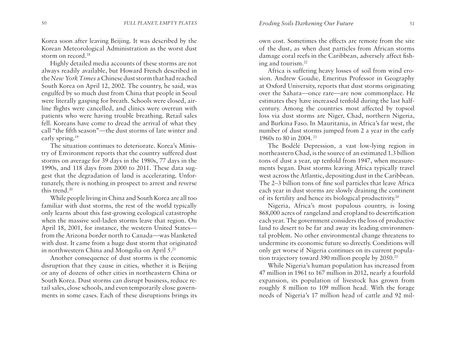Korea soon after leaving Beijing. It was described by the Korean Meteorological Administration as the worst dust storm on record.18

Highly detailed media accounts of these storms are not always readily available, but Howard French described in the *New York Times* a Chinese dust storm that had reached South Korea on April 12, 2002. The country, he said, was engulfed by so much dust from China that people in Seoul were literally gasping for breath. Schools were closed, airline flights were cancelled, and clinics were overrun with patients who were having trouble breathing. Retail sales fell. Koreans have come to dread the arrival of what they call "the fifth season"—the dust storms of late winter and early spring.19

The situation continues to deteriorate. Korea's Ministry of Environment reports that the country suffered dust storms on average for 39 days in the 1980s, 77 days in the 1990s, and 118 days from 2000 to 2011. These data suggest that the degradation of land is accelerating. Unfortunately, there is nothing in prospect to arrest and reverse this trend.20

While people living in China and South Korea are all too familiar with dust storms, the rest of the world typically only learns about this fast-growing ecological catastrophe when the massive soil-laden storms leave that region. On April 18, 2001, for instance, the western United States from the Arizona border north to Canada—was blanketed with dust. It came from a huge dust storm that originated in northwestern China and Mongolia on April 5.21

Another consequence of dust storms is the economic disruption that they cause in cities, whether it is Beijing or any of dozens of other cities in northeastern China or South Korea. Dust storms can disrupt business, reduce retail sales, close schools, and even temporarily close governments in some cases. Each of these disruptions brings its

own cost. Sometimes the effects are remote from the site of the dust, as when dust particles from African storms damage coral reefs in the Caribbean, adversely affect fishing and tourism.22

Africa is suffering heavy losses of soil from wind erosion. Andrew Goudie, Emeritus Professor in Geography at Oxford University, reports that dust storms originating over the Sahara—once rare—are now commonplace. He estimates they have increased tenfold during the last halfcentury. Among the countries most affected by topsoil loss via dust storms are Niger, Chad, northern Nigeria, and Burkina Faso. In Mauritania, in Africa's far west, the number of dust storms jumped from 2 a year in the early 1960s to 80 in 2004. 23

The Bodélé Depression, a vast low-lying region in northeastern Chad, is the source of an estimated 1.3 billion tons of dust a year, up tenfold from 1947, when measurements began. Dust storms leaving Africa typically travel west across the Atlantic, depositing dust in the Caribbean. The 2–3 billion tons of fine soil particles that leave Africa each year in dust storms are slowly draining the continent of its fertility and hence its biological productivity.24

Nigeria, Africa's most populous country, is losing 868,000 acres of rangeland and cropland to desertification each year. The government considers the loss of productive land to desert to be far and away its leading environmental problem. No other environmental change threatens to undermine its economic future so directly. Conditions will only get worse if Nigeria continues on its current population trajectory toward 390 million people by 2050.25

While Nigeria's human population has increased from 47 million in 1961 to 167 million in 2012, nearly a fourfold expansion, its population of livestock has grown from roughly 8 million to 109 million head. With the forage needs of Nigeria's 17 million head of cattle and 92 mil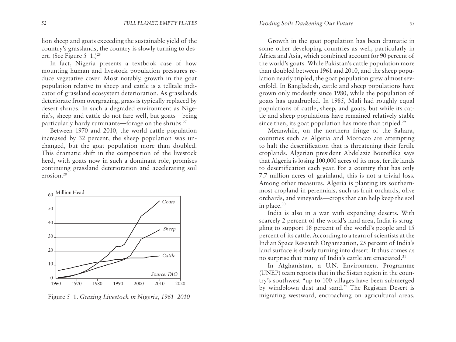lion sheep and goats exceeding the sustainable yield of the country's grasslands, the country is slowly turning to desert. (See Figure  $5-1$ .)<sup>26</sup>

In fact, Nigeria presents a textbook case of how mounting human and livestock population pressures reduce vegetative cover. Most notably, growth in the goat population relative to sheep and cattle is a telltale indicator of grassland ecosystem deterioration. As grasslands deteriorate from overgrazing, grass is typically replaced by desert shrubs. In such a degraded environment as Nigeria's, sheep and cattle do not fare well, but goats—being particularly hardy ruminants—forage on the shrubs.<sup>27</sup>

Between 1970 and 2010, the world cattle population increased by 32 percent, the sheep population was unchanged, but the goat population more than doubled. This dramatic shift in the composition of the livestock herd, with goats now in such a dominant role, promises continuing grassland deterioration and accelerating soil erosion.28



Figure 5–1. *Grazing Livestock in Nigeria, 1961–2010*

Growth in the goat population has been dramatic in some other developing countries as well, particularly in Africa and Asia, which combined account for 90 percent of the world's goats. While Pakistan's cattle population more than doubled between 1961 and 2010, and the sheep population nearly tripled, the goat population grew almost sevenfold. In Bangladesh, cattle and sheep populations have grown only modestly since 1980, while the population of goats has quadrupled. In 1985, Mali had roughly equal populations of cattle, sheep, and goats, but while its cattle and sheep populations have remained relatively stable since then, its goat population has more than tripled.<sup>29</sup>

Meanwhile, on the northern fringe of the Sahara, countries such as Algeria and Morocco are attempting to halt the desertification that is threatening their fertile croplands. Algerian president Abdelaziz Bouteflika says that Algeria is losing 100,000 acres of its most fertile lands to desertification each year. For a country that has only 7.7 million acres of grainland, this is not a trivial loss. Among other measures, Algeria is planting its southernmost cropland in perennials, such as fruit orchards, olive orchards, and vineyards—crops that can help keep the soil in place.30

India is also in a war with expanding deserts. With scarcely 2 percent of the world's land area, India is struggling to support 18 percent of the world's people and 15 percent of its cattle. According to a team of scientists at the Indian Space Research Organization, 25 percent of India's land surface is slowly turning into desert. It thus comes as no surprise that many of India's cattle are emaciated.<sup>31</sup>

In Afghanistan, a U.N. Environment Programme (UNEP) team reports that in the Sistan region in the country's southwest "up to 100 villages have been submerged by windblown dust and sand." The Registan Desert is migrating westward, encroaching on agricultural areas.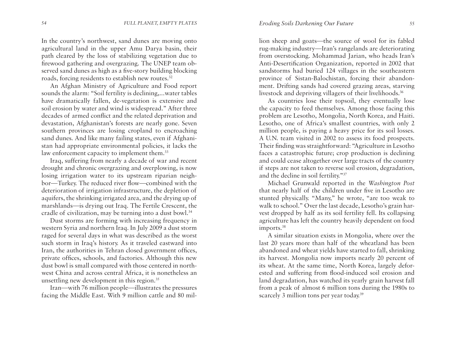In the country's northwest, sand dunes are moving onto agricultural land in the upper Amu Darya basin, their path cleared by the loss of stabilizing vegetation due to firewood gathering and overgrazing. The UNEP team observed sand dunes as high as a five-story building blocking roads, forcing residents to establish new routes.<sup>32</sup>

An Afghan Ministry of Agriculture and Food report sounds the alarm: "Soil fertility is declining,...water tables have dramatically fallen, de-vegetation is extensive and soil erosion by water and wind is widespread." After three decades of armed conflict and the related deprivation and devastation, Afghanistan's forests are nearly gone. Seven southern provinces are losing cropland to encroaching sand dunes. And like many failing states, even if Afghanistan had appropriate environmental policies, it lacks the law enforcement capacity to implement them.<sup>33</sup>

Iraq, suffering from nearly a decade of war and recent drought and chronic overgrazing and overplowing, is now losing irrigation water to its upstream riparian neighbor—Turkey. The reduced river flow—combined with the deterioration of irrigation infrastructure, the depletion of aquifers, the shrinking irrigated area, and the drying up of marshlands—is drying out Iraq. The Fertile Crescent, the cradle of civilization, may be turning into a dust bowl.<sup>34</sup>

Dust storms are forming with increasing frequency in western Syria and northern Iraq. In July 2009 a dust storm raged for several days in what was described as the worst such storm in Iraq's history. As it traveled eastward into Iran, the authorities in Tehran closed government offices, private offices, schools, and factories. Although this new dust bowl is small compared with those centered in northwest China and across central Africa, it is nonetheless an unsettling new development in this region.<sup>35</sup>

Iran—with 76 million people—illustrates the pressures facing the Middle East. With 9 million cattle and 80 million sheep and goats—the source of wool for its fabled rug-making industry—Iran's rangelands are deteriorating from overstocking. Mohammad Jarian, who heads Iran's Anti-Desertification Organization, reported in 2002 that sandstorms had buried 124 villages in the southeastern province of Sistan-Balochistan, forcing their abandonment. Drifting sands had covered grazing areas, starving livestock and depriving villagers of their livelihoods.<sup>36</sup>

As countries lose their topsoil, they eventually lose the capacity to feed themselves. Among those facing this problem are Lesotho, Mongolia, North Korea, and Haiti. Lesotho, one of Africa's smallest countries, with only 2 million people, is paying a heavy price for its soil losses. A U.N. team visited in 2002 to assess its food prospects. Their finding was straightforward: "Agriculture in Lesotho faces a catastrophic future; crop production is declining and could cease altogether over large tracts of the country if steps are not taken to reverse soil erosion, degradation, and the decline in soil fertility."37

Michael Grunwald reported in the *Washington Post* that nearly half of the children under five in Lesotho are stunted physically. "Many," he wrote, "are too weak to walk to school." Over the last decade, Lesotho's grain harvest dropped by half as its soil fertility fell. Its collapsing agriculture has left the country heavily dependent on food imports.<sup>38</sup>

A similar situation exists in Mongolia, where over the last 20 years more than half of the wheatland has been abandoned and wheat yields have started to fall, shrinking its harvest. Mongolia now imports nearly 20 percent of its wheat. At the same time, North Korea, largely deforested and suffering from flood-induced soil erosion and land degradation, has watched its yearly grain harvest fall from a peak of almost 6 million tons during the 1980s to scarcely 3 million tons per year today.<sup>39</sup>